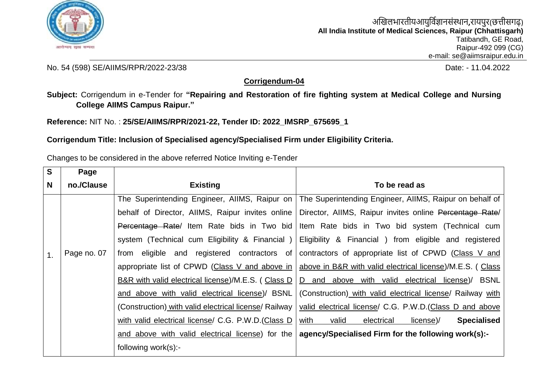

No. 54 (598) SE/AIIMS/RPR/2022-23/38 Date: - 11.04.2022

## **Corrigendum-04**

**Subject:** Corrigendum in e-Tender for **"Repairing and Restoration of fire fighting system at Medical College and Nursing College AIIMS Campus Raipur."**

**Reference:** NIT No. : **25/SE/AIIMS/RPR/2021-22, Tender ID: 2022\_IMSRP\_675695\_1**

**Corrigendum Title: Inclusion of Specialised agency/Specialised Firm under Eligibility Criteria.**

Changes to be considered in the above referred Notice Inviting e-Tender

| S              | Page        |                                                       |                                                                                                             |
|----------------|-------------|-------------------------------------------------------|-------------------------------------------------------------------------------------------------------------|
| N              | no./Clause  | <b>Existing</b>                                       | To be read as                                                                                               |
|                |             | The Superintending Engineer, AllMS, Raipur on         | The Superintending Engineer, AIIMS, Raipur on behalf of                                                     |
|                |             | behalf of Director, AllMS, Raipur invites online      | Director, AIIMS, Raipur invites online Percentage Rate/                                                     |
|                |             | Percentage Rate/ Item Rate bids in Two bid            | Item Rate bids in Two bid system (Technical cum                                                             |
|                |             | system (Technical cum Eligibility & Financial)        | Eligibility & Financial ) from eligible and registered                                                      |
| $\mathbf{1}$ . | Page no. 07 | eligible and registered contractors of<br>from        | contractors of appropriate list of CPWD (Class V and                                                        |
|                |             |                                                       | appropriate list of CPWD (Class V and above in   above in B&R with valid electrical license)/M.E.S. ( Class |
|                |             | B&R with valid electrical license)/M.E.S. (Class D    | D and above with valid electrical license)/ BSNL                                                            |
|                |             | and above with valid electrical license)/ BSNL        | (Construction) with valid electrical license/ Railway with                                                  |
|                |             | (Construction) with valid electrical license/ Railway | valid electrical license/ C.G. P.W.D. (Class D and above                                                    |
|                |             | with valid electrical license/ C.G. P.W.D. (Class D   | <b>Specialised</b><br>valid<br>with<br>electrical<br>license)/                                              |
|                |             | and above with valid electrical license) for the      | agency/Specialised Firm for the following work(s):-                                                         |
|                |             | following work(s):-                                   |                                                                                                             |
|                |             |                                                       |                                                                                                             |